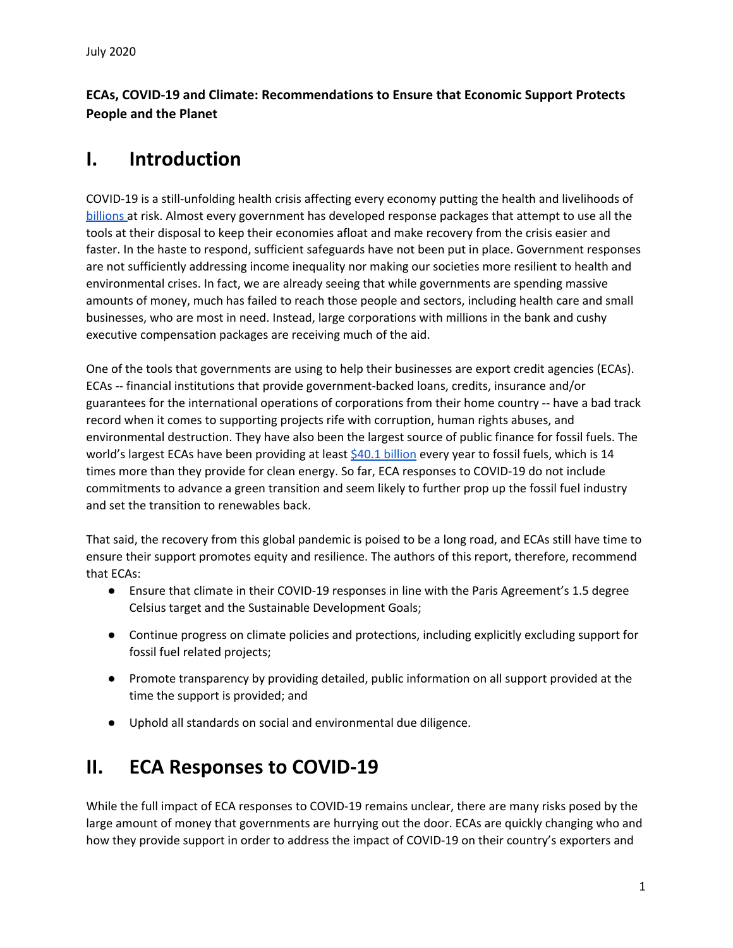#### **ECAs, COVID-19 and Climate: Recommendations to Ensure that Economic Support Protects People and the Planet**

## **I. Introduction**

COVID-19 is a still-unfolding health crisis affecting every economy putting the health and livelihoods of [billions](https://www.ilo.org/global/about-the-ilo/newsroom/news/WCMS_743036/lang--en/index.htm) at risk. Almost every government has developed response packages that attempt to use all the tools at their disposal to keep their economies afloat and make recovery from the crisis easier and faster. In the haste to respond, sufficient safeguards have not been put in place. Government responses are not sufficiently addressing income inequality nor making our societies more resilient to health and environmental crises. In fact, we are already seeing that while governments are spending massive amounts of money, much has failed to reach those people and sectors, including health care and small businesses, who are most in need. Instead, large corporations with millions in the bank and cushy executive compensation packages are receiving much of the aid.

One of the tools that governments are using to help their businesses are export credit agencies (ECAs). ECAs -- financial institutions that provide government-backed loans, credits, insurance and/or guarantees for the international operations of corporations from their home country -- have a bad track record when it comes to supporting projects rife with corruption, human rights abuses, and environmental destruction. They have also been the largest source of public finance for fossil fuels. The world's largest ECAs have been providing at least \$40.1 [billion](https://foe.org/resources/still-digging-g20-governments-continue-to-finance-the-climate-crisis/) every year to fossil fuels, which is 14 times more than they provide for clean energy. So far, ECA responses to COVID-19 do not include commitments to advance a green transition and seem likely to further prop up the fossil fuel industry and set the transition to renewables back.

That said, the recovery from this global pandemic is poised to be a long road, and ECAs still have time to ensure their support promotes equity and resilience. The authors of this report, therefore, recommend that ECAs:

- Ensure that climate in their COVID-19 responses in line with the Paris Agreement's 1.5 degree Celsius target and the Sustainable Development Goals;
- Continue progress on climate policies and protections, including explicitly excluding support for fossil fuel related projects;
- Promote transparency by providing detailed, public information on all support provided at the time the support is provided; and
- Uphold all standards on social and environmental due diligence.

# **II. ECA Responses to COVID-19**

While the full impact of ECA responses to COVID-19 remains unclear, there are many risks posed by the large amount of money that governments are hurrying out the door. ECAs are quickly changing who and how they provide support in order to address the impact of COVID-19 on their country's exporters and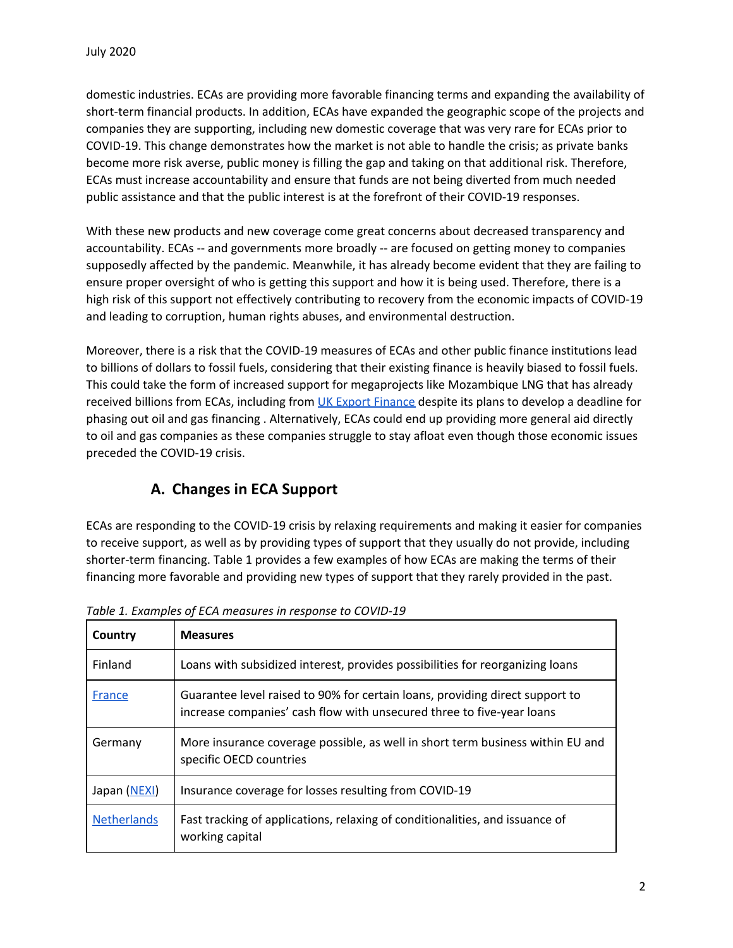domestic industries. ECAs are providing more favorable financing terms and expanding the availability of short-term financial products. In addition, ECAs have expanded the geographic scope of the projects and companies they are supporting, including new domestic coverage that was very rare for ECAs prior to COVID-19. This change demonstrates how the market is not able to handle the crisis; as private banks become more risk averse, public money is filling the gap and taking on that additional risk. Therefore, ECAs must increase accountability and ensure that funds are not being diverted from much needed public assistance and that the public interest is at the forefront of their COVID-19 responses.

With these new products and new coverage come great concerns about decreased transparency and accountability. ECAs -- and governments more broadly -- are focused on getting money to companies supposedly affected by the pandemic. Meanwhile, it has already become evident that they are failing to ensure proper oversight of who is getting this support and how it is being used. Therefore, there is a high risk of this support not effectively contributing to recovery from the economic impacts of COVID-19 and leading to corruption, human rights abuses, and environmental destruction.

Moreover, there is a risk that the COVID-19 measures of ECAs and other public finance institutions lead to billions of dollars to fossil fuels, considering that their existing finance is heavily biased to fossil fuels. This could take the form of increased support for megaprojects like Mozambique LNG that has already received billions from ECAs, including from UK Export [Finance](https://www.reuters.com/article/uk-total-mozambique-lng-idUKKBN23X2GX) despite its plans to develop a deadline for phasing out oil and gas financing . Alternatively, ECAs could end up providing more general aid directly to oil and gas companies as these companies struggle to stay afloat even though those economic issues preceded the COVID-19 crisis.

## **A. Changes in ECA Support**

ECAs are responding to the COVID-19 crisis by relaxing requirements and making it easier for companies to receive support, as well as by providing types of support that they usually do not provide, including shorter-term financing. Table 1 provides a few examples of how ECAs are making the terms of their financing more favorable and providing new types of support that they rarely provided in the past.

| Country       | <b>Measures</b>                                                                                                                                       |
|---------------|-------------------------------------------------------------------------------------------------------------------------------------------------------|
| Finland       | Loans with subsidized interest, provides possibilities for reorganizing loans                                                                         |
| <b>France</b> | Guarantee level raised to 90% for certain loans, providing direct support to<br>increase companies' cash flow with unsecured three to five-year loans |
| Germany       | More insurance coverage possible, as well in short term business within EU and<br>specific OECD countries                                             |
| Japan (NEXI)  | Insurance coverage for losses resulting from COVID-19                                                                                                 |
| Netherlands   | Fast tracking of applications, relaxing of conditionalities, and issuance of<br>working capital                                                       |

*Table 1. Examples of ECA measures in response to COVID-19*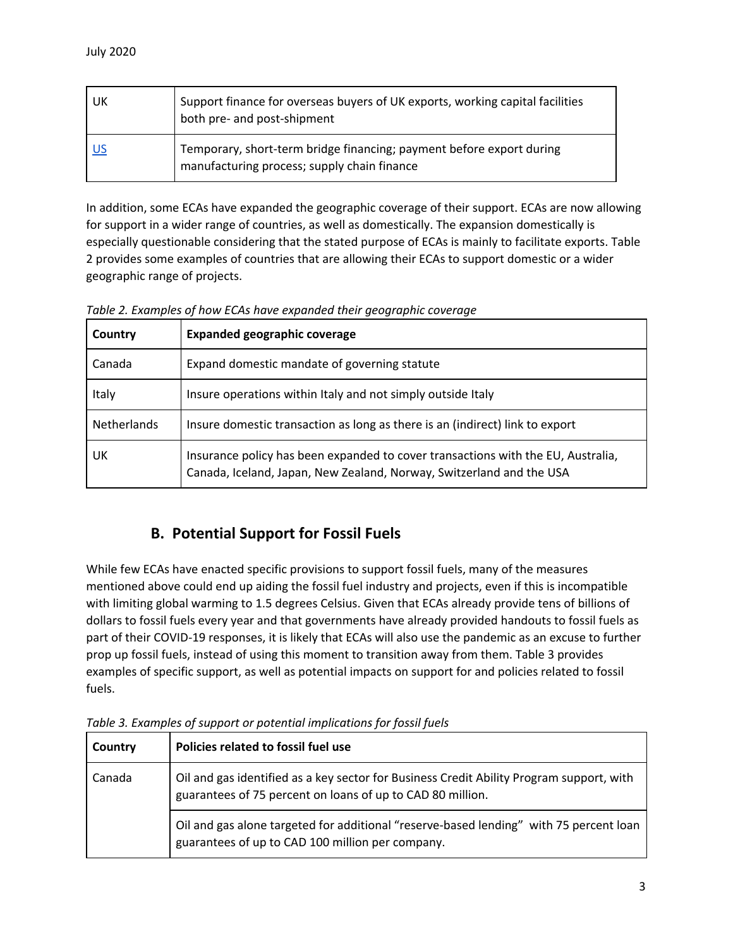| UK | Support finance for overseas buyers of UK exports, working capital facilities<br>both pre- and post-shipment        |
|----|---------------------------------------------------------------------------------------------------------------------|
|    | Temporary, short-term bridge financing; payment before export during<br>manufacturing process; supply chain finance |

In addition, some ECAs have expanded the geographic coverage of their support. ECAs are now allowing for support in a wider range of countries, as well as domestically. The expansion domestically is especially questionable considering that the stated purpose of ECAs is mainly to facilitate exports. Table 2 provides some examples of countries that are allowing their ECAs to support domestic or a wider geographic range of projects.

*Table 2. Examples of how ECAs have expanded their geographic coverage*

| Country            | <b>Expanded geographic coverage</b>                                                                                                                      |
|--------------------|----------------------------------------------------------------------------------------------------------------------------------------------------------|
| Canada             | Expand domestic mandate of governing statute                                                                                                             |
| Italy              | Insure operations within Italy and not simply outside Italy                                                                                              |
| <b>Netherlands</b> | Insure domestic transaction as long as there is an (indirect) link to export                                                                             |
| UK                 | Insurance policy has been expanded to cover transactions with the EU, Australia,<br>Canada, Iceland, Japan, New Zealand, Norway, Switzerland and the USA |

## **B. Potential Support for Fossil Fuels**

While few ECAs have enacted specific provisions to support fossil fuels, many of the measures mentioned above could end up aiding the fossil fuel industry and projects, even if this is incompatible with limiting global warming to 1.5 degrees Celsius. Given that ECAs already provide tens of billions of dollars to fossil fuels every year and that governments have already provided handouts to fossil fuels as part of their COVID-19 responses, it is likely that ECAs will also use the pandemic as an excuse to further prop up fossil fuels, instead of using this moment to transition away from them. Table 3 provides examples of specific support, as well as potential impacts on support for and policies related to fossil fuels.

*Table 3. Examples of support or potential implications for fossil fuels*

| <b>Country</b> | Policies related to fossil fuel use                                                                                                                    |
|----------------|--------------------------------------------------------------------------------------------------------------------------------------------------------|
| Canada         | Oil and gas identified as a key sector for Business Credit Ability Program support, with<br>guarantees of 75 percent on loans of up to CAD 80 million. |
|                | Oil and gas alone targeted for additional "reserve-based lending" with 75 percent loan<br>guarantees of up to CAD 100 million per company.             |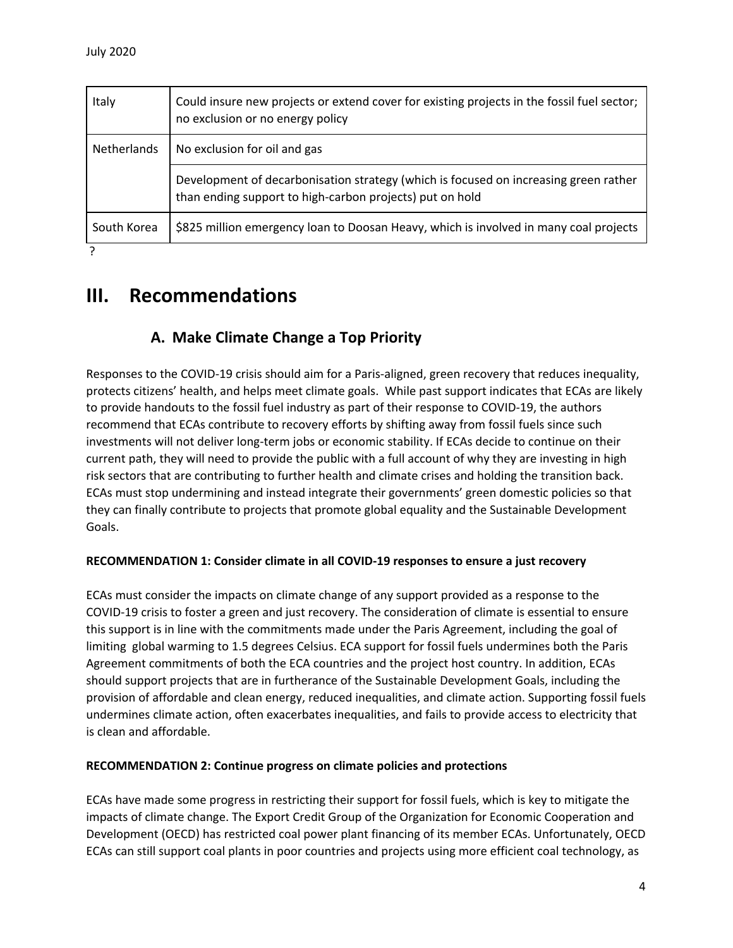| Italy              | Could insure new projects or extend cover for existing projects in the fossil fuel sector;<br>no exclusion or no energy policy                   |
|--------------------|--------------------------------------------------------------------------------------------------------------------------------------------------|
| <b>Netherlands</b> | No exclusion for oil and gas                                                                                                                     |
|                    | Development of decarbonisation strategy (which is focused on increasing green rather<br>than ending support to high-carbon projects) put on hold |
| South Korea        | \$825 million emergency loan to Doosan Heavy, which is involved in many coal projects                                                            |
|                    |                                                                                                                                                  |

# **III. Recommendations**

## **A. Make Climate Change a Top Priority**

Responses to the COVID-19 crisis should aim for a Paris-aligned, green recovery that reduces inequality, protects citizens' health, and helps meet climate goals. While past support indicates that ECAs are likely to provide handouts to the fossil fuel industry as part of their response to COVID-19, the authors recommend that ECAs contribute to recovery efforts by shifting away from fossil fuels since such investments will not deliver long-term jobs or economic stability. If ECAs decide to continue on their current path, they will need to provide the public with a full account of why they are investing in high risk sectors that are contributing to further health and climate crises and holding the transition back. ECAs must stop undermining and instead integrate their governments' green domestic policies so that they can finally contribute to projects that promote global equality and the Sustainable Development Goals.

#### **RECOMMENDATION 1: Consider climate in all COVID-19 responses to ensure a just recovery**

ECAs must consider the impacts on climate change of any support provided as a response to the COVID-19 crisis to foster a green and just recovery. The consideration of climate is essential to ensure this support is in line with the commitments made under the Paris Agreement, including the goal of limiting global warming to 1.5 degrees Celsius. ECA support for fossil fuels undermines both the Paris Agreement commitments of both the ECA countries and the project host country. In addition, ECAs should support projects that are in furtherance of the Sustainable Development Goals, including the provision of affordable and clean energy, reduced inequalities, and climate action. Supporting fossil fuels undermines climate action, often exacerbates inequalities, and fails to provide access to electricity that is clean and affordable.

#### **RECOMMENDATION 2: Continue progress on climate policies and protections**

ECAs have made some progress in restricting their support for fossil fuels, which is key to mitigate the impacts of climate change. The Export Credit Group of the Organization for Economic Cooperation and Development (OECD) has restricted coal power plant financing of its member ECAs. Unfortunately, OECD ECAs can still support coal plants in poor countries and projects using more efficient coal technology, as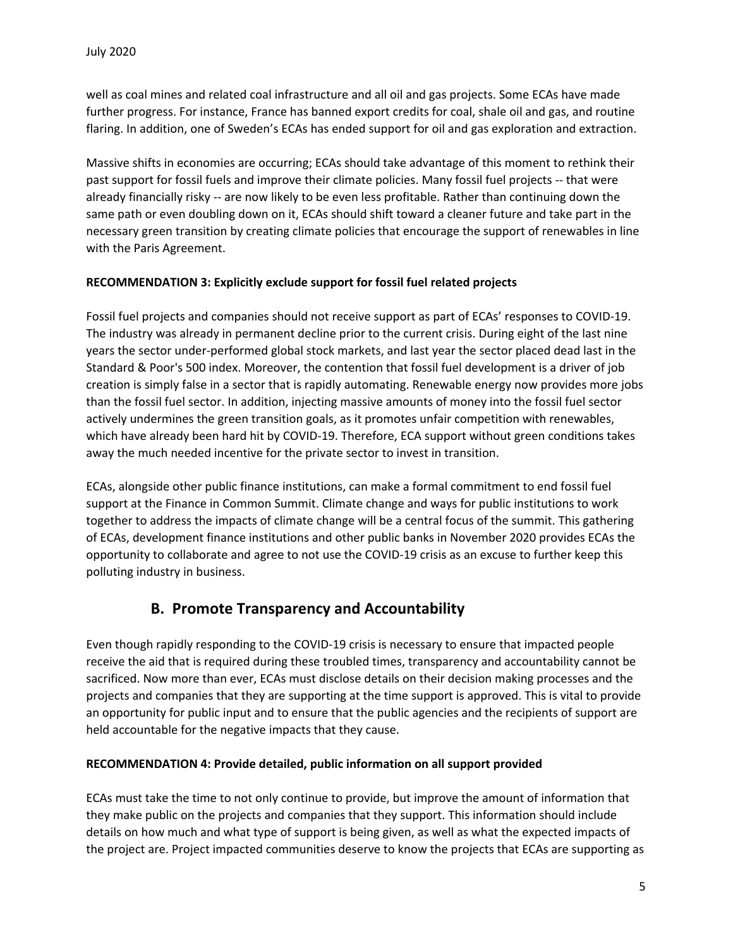July 2020

well as coal mines and related coal infrastructure and all oil and gas projects. Some ECAs have made further progress. For instance, France has banned export credits for coal, shale oil and gas, and routine flaring. In addition, one of Sweden's ECAs has ended support for oil and gas exploration and extraction.

Massive shifts in economies are occurring; ECAs should take advantage of this moment to rethink their past support for fossil fuels and improve their climate policies. Many fossil fuel projects -- that were already financially risky -- are now likely to be even less profitable. Rather than continuing down the same path or even doubling down on it, ECAs should shift toward a cleaner future and take part in the necessary green transition by creating climate policies that encourage the support of renewables in line with the Paris Agreement.

#### **RECOMMENDATION 3: Explicitly exclude support for fossil fuel related projects**

Fossil fuel projects and companies should not receive support as part of ECAs' responses to COVID-19. The industry was already in permanent decline prior to the current crisis. During eight of the last nine years the sector under-performed global stock markets, and last year the sector placed dead last in the Standard & Poor's 500 index. Moreover, the contention that fossil fuel development is a driver of job creation is simply false in a sector that is rapidly automating. Renewable energy now provides more jobs than the fossil fuel sector. In addition, injecting massive amounts of money into the fossil fuel sector actively undermines the green transition goals, as it promotes unfair competition with renewables, which have already been hard hit by COVID-19. Therefore, ECA support without green conditions takes away the much needed incentive for the private sector to invest in transition.

ECAs, alongside other public finance institutions, can make a formal commitment to end fossil fuel support at the Finance in Common Summit. Climate change and ways for public institutions to work together to address the impacts of climate change will be a central focus of the summit. This gathering of ECAs, development finance institutions and other public banks in November 2020 provides ECAs the opportunity to collaborate and agree to not use the COVID-19 crisis as an excuse to further keep this polluting industry in business.

### **B. Promote Transparency and Accountability**

Even though rapidly responding to the COVID-19 crisis is necessary to ensure that impacted people receive the aid that is required during these troubled times, transparency and accountability cannot be sacrificed. Now more than ever, ECAs must disclose details on their decision making processes and the projects and companies that they are supporting at the time support is approved. This is vital to provide an opportunity for public input and to ensure that the public agencies and the recipients of support are held accountable for the negative impacts that they cause.

#### **RECOMMENDATION 4: Provide detailed, public information on all support provided**

ECAs must take the time to not only continue to provide, but improve the amount of information that they make public on the projects and companies that they support. This information should include details on how much and what type of support is being given, as well as what the expected impacts of the project are. Project impacted communities deserve to know the projects that ECAs are supporting as